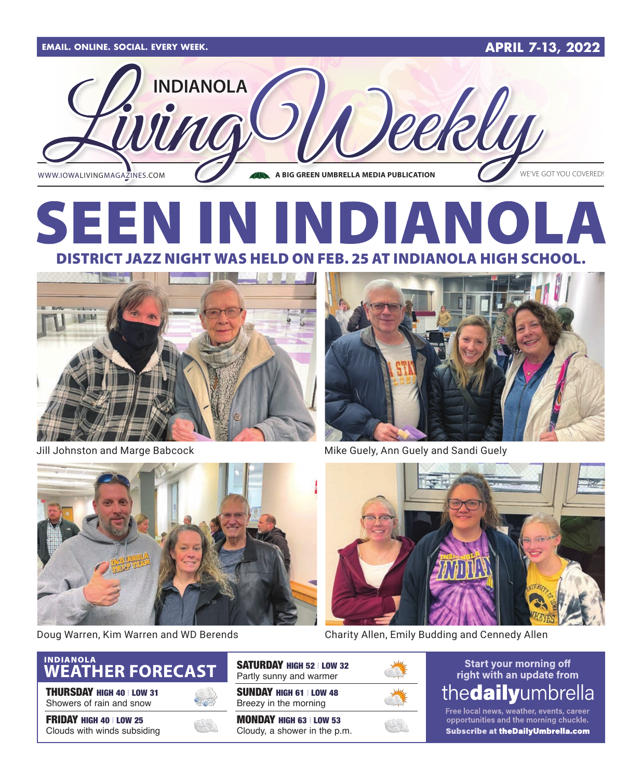

### **SEE** DIA DISTRICT JAZZ NIGHT WAS HELD ON FEB. 25 AT INDIANOLA HIGH SCHOOL.





Jill Johnston and Marge Babcock Mike Guely, Ann Guely and Sandi Guely





Doug Warren, Kim Warren and WD Berends Charity Allen, Emily Budding and Cennedy Allen



THURSDAY HIGH 40 | LOW 31 Showers of rain and snow

FRIDAY HIGH 40 | LOW 25 Clouds with winds subsiding



SATURDAY HIGH 52 | LOW 32 Partly sunny and warmer

SUNDAY HIGH 61 | LOW 48 Breezy in the morning

MONDAY HIGH 63 | LOW 53 Cloudy, a shower in the p.m.



**Start your morning off** right with an update from thedailyumbrella

Free local news, weather, events, career opportunities and the morning chuckle. Subscribe at the Daily Umbrella.com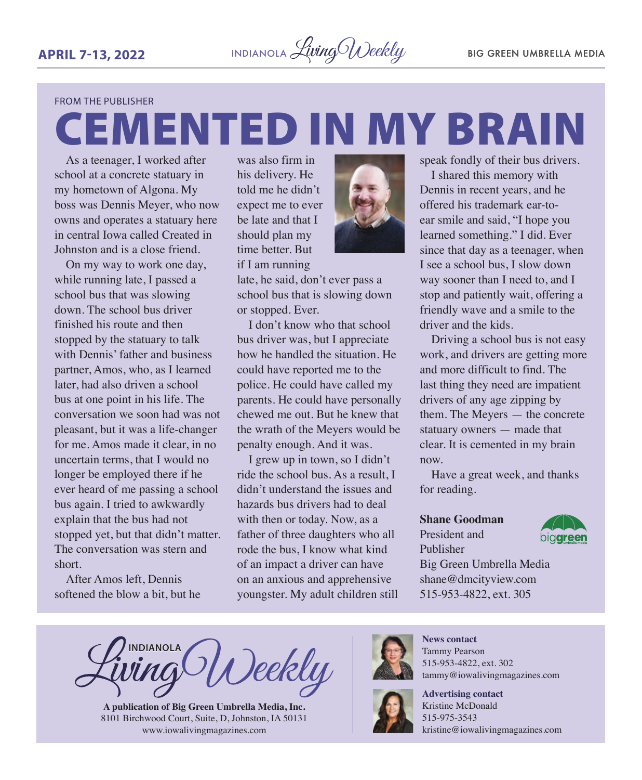CEMENTED IN MY BRAIN

#### FROM THE PUBLISHER

As a teenager, I worked after school at a concrete statuary in my hometown of Algona. My boss was Dennis Meyer, who now owns and operates a statuary here in central Iowa called Created in Johnston and is a close friend.

On my way to work one day, while running late, I passed a school bus that was slowing down. The school bus driver finished his route and then stopped by the statuary to talk with Dennis' father and business partner, Amos, who, as I learned later, had also driven a school bus at one point in his life. The conversation we soon had was not pleasant, but it was a life-changer for me. Amos made it clear, in no uncertain terms, that I would no longer be employed there if he ever heard of me passing a school bus again. I tried to awkwardly explain that the bus had not stopped yet, but that didn't matter. The conversation was stern and short.

After Amos left, Dennis softened the blow a bit, but he was also firm in his delivery. He told me he didn't expect me to ever be late and that I should plan my time better. But

if I am running

late, he said, don't ever pass a school bus that is slowing down or stopped. Ever.

I don't know who that school bus driver was, but I appreciate how he handled the situation. He could have reported me to the police. He could have called my parents. He could have personally chewed me out. But he knew that the wrath of the Meyers would be penalty enough. And it was.

I grew up in town, so I didn't ride the school bus. As a result, I didn't understand the issues and hazards bus drivers had to deal with then or today. Now, as a father of three daughters who all rode the bus, I know what kind of an impact a driver can have on an anxious and apprehensive youngster. My adult children still



I shared this memory with Dennis in recent years, and he offered his trademark ear-toear smile and said, "I hope you learned something." I did. Ever since that day as a teenager, when I see a school bus, I slow down way sooner than I need to, and I stop and patiently wait, offering a friendly wave and a smile to the driver and the kids.

Driving a school bus is not easy work, and drivers are getting more and more difficult to find. The last thing they need are impatient drivers of any age zipping by them. The Meyers — the concrete statuary owners — made that clear. It is cemented in my brain now.

Have a great week, and thanks for reading.

#### **Shane Goodman**

President and Publisher



Big Green Umbrella Media shane@dmcityview.com 515-953-4822, ext. 305

**INDIANOLA** Deekly

**A publication of Big Green Umbrella Media, Inc.** 8101 Birchwood Court, Suite, D, Johnston, IA 50131 [www.iowalivingmagazines.com](http://www.iowalivingmagazines.com)



**News contact** Tammy Pearson 515-953-4822, ext. 302 [tammy@iowalivingmagazines.com](mailto:tammy@iowalivingmagazines.com)



**Advertising contact** Kristine McDonald 515-975-3543 [kristine@iowalivingmagazines.com](mailto:kristine@iowalivingmagazines.com)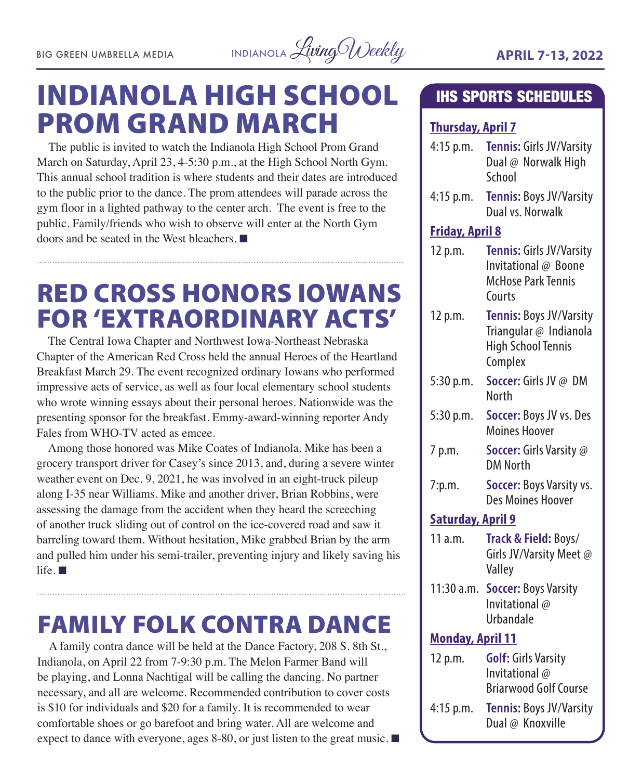

### INDIANOLA HIGH SCHOOL PROM GRAND MARCH

The public is invited to watch the Indianola High School Prom Grand March on Saturday, April 23, 4-5:30 p.m., at the High School North Gym. This annual school tradition is where students and their dates are introduced to the public prior to the dance. The prom attendees will parade across the gym floor in a lighted pathway to the center arch. The event is free to the public. Family/friends who wish to observe will enter at the North Gym doors and be seated in the West bleachers.  $\blacksquare$ 

### RED CROSS HONORS IOWANS FOR 'EXTRAORDINARY ACTS'

The Central Iowa Chapter and Northwest Iowa-Northeast Nebraska Chapter of the American Red Cross held the annual Heroes of the Heartland Breakfast March 29. The event recognized ordinary Iowans who performed impressive acts of service, as well as four local elementary school students who wrote winning essays about their personal heroes. Nationwide was the presenting sponsor for the breakfast. Emmy-award-winning reporter Andy Fales from WHO-TV acted as emcee.

Among those honored was Mike Coates of Indianola. Mike has been a grocery transport driver for Casey's since 2013, and, during a severe winter weather event on Dec. 9, 2021, he was involved in an eight-truck pileup along I-35 near Williams. Mike and another driver, Brian Robbins, were assessing the damage from the accident when they heard the screeching of another truck sliding out of control on the ice-covered road and saw it barreling toward them. Without hesitation, Mike grabbed Brian by the arm and pulled him under his semi-trailer, preventing injury and likely saving his  $l$ ife.  $\blacksquare$ 

### FAMILY FOLK CONTRA DANCE

A family contra dance will be held at the Dance Factory, 208 S. 8th St., Indianola, on April 22 from 7-9:30 p.m. The Melon Farmer Band will be playing, and Lonna Nachtigal will be calling the dancing. No partner necessary, and all are welcome. Recommended contribution to cover costs is \$10 for individuals and \$20 for a family. It is recommended to wear comfortable shoes or go barefoot and bring water. All are welcome and expect to dance with everyone, ages 8-80, or just listen to the great music.  $\blacksquare$ 

#### IHS SPORTS SCHEDULES

#### **Thursday, April 7**

- 4:15 p.m. **Tennis:** Girls JV/Varsity Dual @ Norwalk High School
- 4:15 p.m. **Tennis:** Boys JV/Varsity Dual vs. Norwalk

#### **Friday, April 8**

| 12 p.m.   | Tennis: Girls JV/Varsity<br>Invitational @ Boone<br><b>McHose Park Tennis</b><br>Courts   |
|-----------|-------------------------------------------------------------------------------------------|
| 12 p.m.   | Tennis: Boys JV/Varsity<br>Triangular @ Indianola<br><b>High School Tennis</b><br>Complex |
| 5:30 p.m. | <b>Soccer:</b> Girls JV @ DM<br>North                                                     |
| 5:30 p.m. | Soccer: Boys JV vs. Des<br>Moines Hoover                                                  |
|           |                                                                                           |

- 7 p.m. **Soccer:** Girls Varsity @ DM North
- 7:p.m. **Soccer:** Boys Varsity vs. Des Moines Hoover

#### **Saturday, April 9**

- 11 a.m. **Track & Field:** Boys/ Girls JV/Varsity Meet @ Valley
- 11:30 a.m. **Soccer:** Boys Varsity Invitational @ Urbandale

#### **Monday, April 11**

| 12 p.m.     | <b>Golf: Girls Varsity</b>     |
|-------------|--------------------------------|
|             | Invitational @                 |
|             | <b>Briarwood Golf Course</b>   |
| $4:15$ p.m. | <b>Tennis: Boys JV/Varsity</b> |
|             | Dual @ Knoxville               |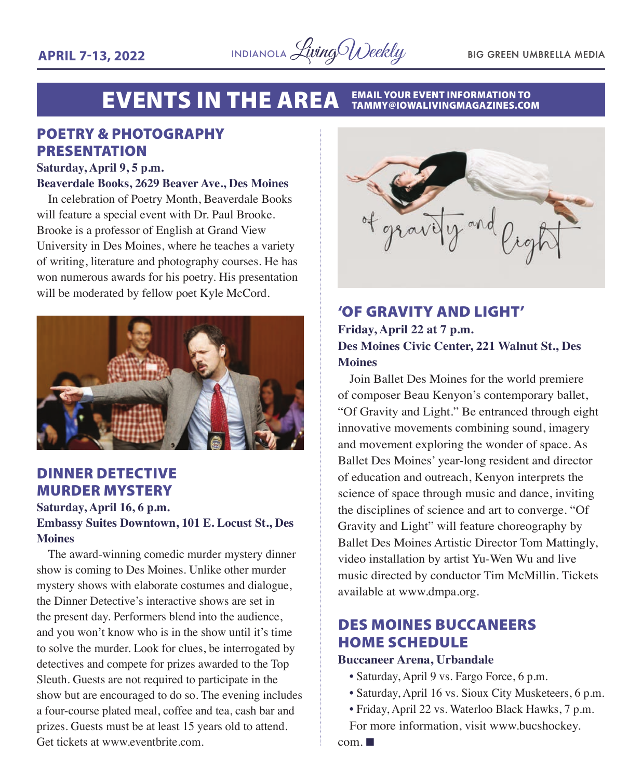

#### EVENTS IN THE AREA EMAIL YOUR EVENT INFORMATION TO TAMMY@IOWALIVINGMAGAZINES.COM

#### POETRY & PHOTOGRAPHY PRESENTATION

#### **Saturday, April 9, 5 p.m.**

#### **Beaverdale Books, 2629 Beaver Ave., Des Moines**

In celebration of Poetry Month, Beaverdale Books will feature a special event with Dr. Paul Brooke. Brooke is a professor of English at Grand View University in Des Moines, where he teaches a variety of writing, literature and photography courses. He has won numerous awards for his poetry. His presentation will be moderated by fellow poet Kyle McCord.



#### DINNER DETECTIVE MURDER MYSTERY

#### **Saturday, April 16, 6 p.m. Embassy Suites Downtown, 101 E. Locust St., Des Moines**

The award-winning comedic murder mystery dinner show is coming to Des Moines. Unlike other murder mystery shows with elaborate costumes and dialogue, the Dinner Detective's interactive shows are set in the present day. Performers blend into the audience, and you won't know who is in the show until it's time to solve the murder. Look for clues, be interrogated by detectives and compete for prizes awarded to the Top Sleuth. Guests are not required to participate in the show but are encouraged to do so. The evening includes a four-course plated meal, coffee and tea, cash bar and prizes. Guests must be at least 15 years old to attend. Get tickets at www.eventbrite.com.



#### 'OF GRAVITY AND LIGHT' **Friday, April 22 at 7 p.m. Des Moines Civic Center, 221 Walnut St., Des Moines**

Join Ballet Des Moines for the world premiere of composer Beau Kenyon's contemporary ballet, "Of Gravity and Light." Be entranced through eight innovative movements combining sound, imagery and movement exploring the wonder of space. As Ballet Des Moines' year-long resident and director of education and outreach, Kenyon interprets the science of space through music and dance, inviting the disciplines of science and art to converge. "Of Gravity and Light" will feature choreography by Ballet Des Moines Artistic Director Tom Mattingly, video installation by artist Yu-Wen Wu and live music directed by conductor Tim McMillin. Tickets available at www.dmpa.org.

#### DES MOINES BUCCANEERS HOME SCHEDULE

#### **Buccaneer Arena, Urbandale**

- Saturday, April 9 vs. Fargo Force, 6 p.m.
- Saturday, April 16 vs. Sioux City Musketeers, 6 p.m.
- Friday, April 22 vs. Waterloo Black Hawks, 7 p.m. For more information, visit www.bucshockey.

 $com. \blacksquare$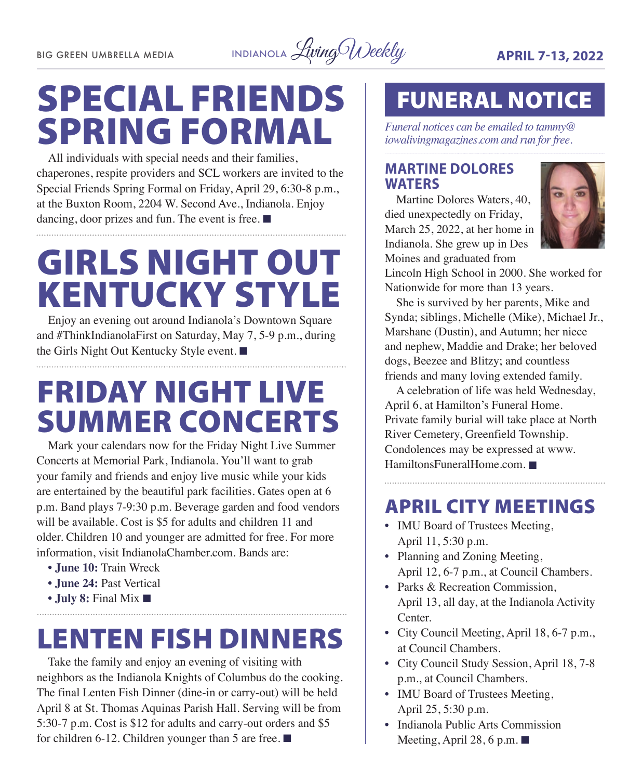

# SPECIAL FRIENDS SPRING FORMAL

All individuals with special needs and their families, chaperones, respite providers and SCL workers are invited to the Special Friends Spring Formal on Friday, April 29, 6:30-8 p.m., at the Buxton Room, 2204 W. Second Ave., Indianola. Enjoy dancing, door prizes and fun. The event is free.  $\blacksquare$ 

# GIRLS NIGHT OUT KENTUCKY STYLE

Enjoy an evening out around Indianola's Downtown Square and #ThinkIndianolaFirst on Saturday, May 7, 5-9 p.m., during the Girls Night Out Kentucky Style event.  $\blacksquare$ 

### FRIDAY NIGHT LIVE SUMMER CONCERTS

Mark your calendars now for the Friday Night Live Summer Concerts at Memorial Park, Indianola. You'll want to grab your family and friends and enjoy live music while your kids are entertained by the beautiful park facilities. Gates open at 6 p.m. Band plays 7-9:30 p.m. Beverage garden and food vendors will be available. Cost is \$5 for adults and children 11 and older. Children 10 and younger are admitted for free. For more information, visit [IndianolaChamber.com.](http://IndianolaChamber.com) Bands are:

**• June 10:** Train Wreck

- **June 24:** Past Vertical
- **July 8:** Final Mix  $\blacksquare$

### LENTEN FISH DINNERS

Take the family and enjoy an evening of visiting with neighbors as the Indianola Knights of Columbus do the cooking. The final Lenten Fish Dinner (dine-in or carry-out) will be held April 8 at St. Thomas Aquinas Parish Hall. Serving will be from 5:30-7 p.m. Cost is \$12 for adults and carry-out orders and \$5 for children 6-12. Children younger than 5 are free.  $\blacksquare$ 

### FUNERAL NOTICE

*Funeral notices can be emailed to tammy@ iowalivingmagazines.com and run for free.*

#### **MARTINE DOLORES WATERS**

Martine Dolores Waters, 40, died unexpectedly on Friday, March 25, 2022, at her home in Indianola. She grew up in Des Moines and graduated from



Lincoln High School in 2000. She worked for Nationwide for more than 13 years.

She is survived by her parents, Mike and Synda; siblings, Michelle (Mike), Michael Jr., Marshane (Dustin), and Autumn; her niece and nephew, Maddie and Drake; her beloved dogs, Beezee and Blitzy; and countless friends and many loving extended family.

A celebration of life was held Wednesday, April 6, at Hamilton's Funeral Home. Private family burial will take place at North River Cemetery, Greenfield Township. Condolences may be expressed at [www.](http://www.HamiltonsFuneralHome.com) [HamiltonsFuneralHome.com.](http://www.HamiltonsFuneralHome.com)

### APRIL CITY MEETINGS

- IMU Board of Trustees Meeting, April 11, 5:30 p.m.
- Planning and Zoning Meeting, April 12, 6-7 p.m., at Council Chambers.
- Parks & Recreation Commission, April 13, all day, at the Indianola Activity Center.
- City Council Meeting, April 18, 6-7 p.m., at Council Chambers.
- City Council Study Session, April 18, 7-8 p.m., at Council Chambers.
- IMU Board of Trustees Meeting, April 25, 5:30 p.m.
- Indianola Public Arts Commission Meeting, April 28, 6 p.m.  $\blacksquare$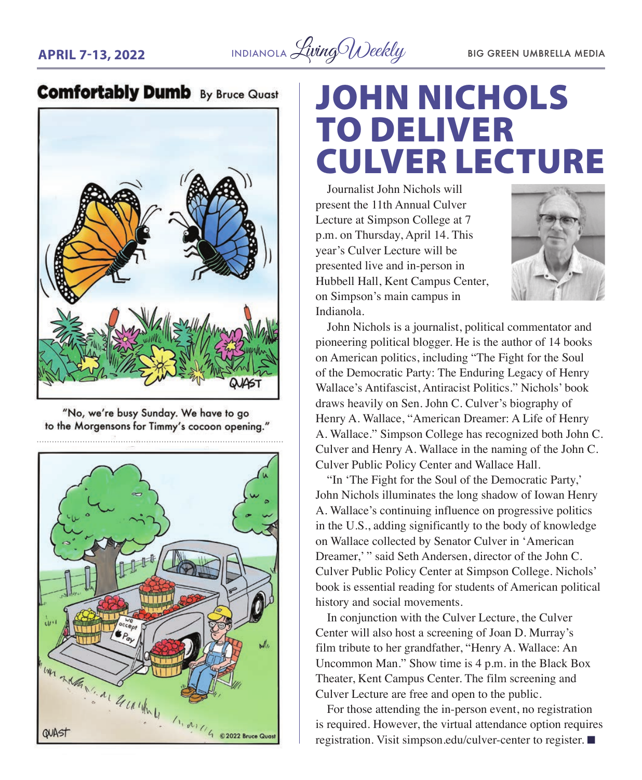**APRIL 7-13, 2022** INDIANOLA *Living Weekly* BIG GREEN UMBRELLA MEDIA

### **Comfortably Dumb** By Bruce Quast



"No, we're busy Sunday. We have to go to the Morgensons for Timmy's cocoon opening."



### JOHN NICHOLS TO DELIVER CULVER LECTURE

Journalist John Nichols will present the 11th Annual Culver Lecture at Simpson College at 7 p.m. on Thursday, April 14. This year's Culver Lecture will be presented live and in-person in Hubbell Hall, Kent Campus Center, on Simpson's main campus in Indianola.



John Nichols is a journalist, political commentator and pioneering political blogger. He is the author of 14 books on American politics, including "The Fight for the Soul of the Democratic Party: The Enduring Legacy of Henry Wallace's Antifascist, Antiracist Politics." Nichols' book draws heavily on Sen. John C. Culver's biography of Henry A. Wallace, "American Dreamer: A Life of Henry A. Wallace." Simpson College has recognized both John C. Culver and Henry A. Wallace in the naming of the John C. Culver Public Policy Center and Wallace Hall.

"In 'The Fight for the Soul of the Democratic Party,' John Nichols illuminates the long shadow of Iowan Henry A. Wallace's continuing influence on progressive politics in the U.S., adding significantly to the body of knowledge on Wallace collected by Senator Culver in 'American Dreamer,' " said Seth Andersen, director of the John C. Culver Public Policy Center at Simpson College. Nichols' book is essential reading for students of American political history and social movements.

In conjunction with the Culver Lecture, the Culver Center will also host a screening of Joan D. Murray's film tribute to her grandfather, "Henry A. Wallace: An Uncommon Man." Show time is 4 p.m. in the Black Box Theater, Kent Campus Center. The film screening and Culver Lecture are free and open to the public.

For those attending the in-person event, no registration is required. However, the virtual attendance option requires registration. Visit [simpson.edu/culver-center](http://simpson.edu/culver-center) to register.  $\blacksquare$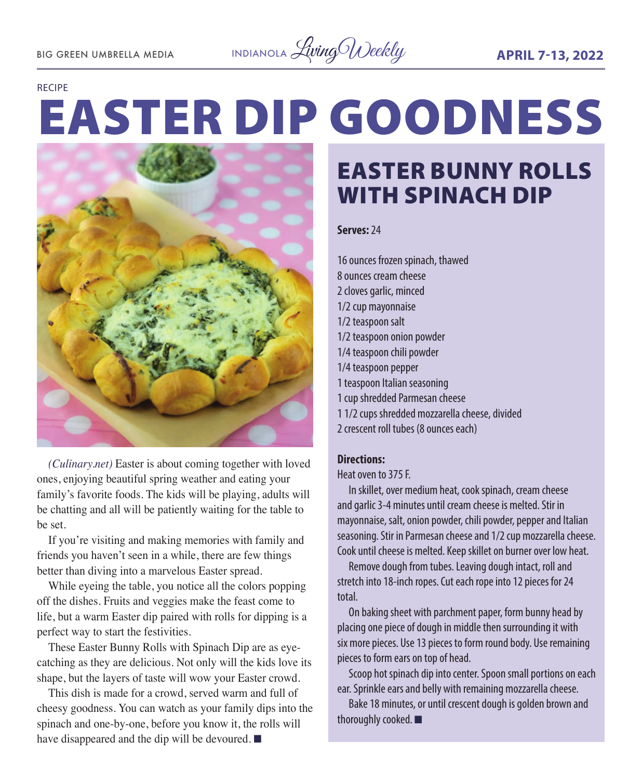

#### RECIPE

# EASTER DIP GOODNESS



*(Culinary.net)* Easter is about coming together with loved ones, enjoying beautiful spring weather and eating your family's favorite foods. The kids will be playing, adults will be chatting and all will be patiently waiting for the table to be set.

If you're visiting and making memories with family and friends you haven't seen in a while, there are few things better than diving into a marvelous Easter spread.

While eyeing the table, you notice all the colors popping off the dishes. Fruits and veggies make the feast come to life, but a warm Easter dip paired with rolls for dipping is a perfect way to start the festivities.

These Easter Bunny Rolls with Spinach Dip are as eyecatching as they are delicious. Not only will the kids love its shape, but the layers of taste will wow your Easter crowd.

This dish is made for a crowd, served warm and full of cheesy goodness. You can watch as your family dips into the spinach and one-by-one, before you know it, the rolls will have disappeared and the dip will be devoured.  $\blacksquare$ 

### EASTER BUNNY ROLLS WITH SPINACH DIP

#### **Serves:** 24

16 ounces frozen spinach, thawed 8 ounces cream cheese 2 cloves garlic, minced 1/2 cup mayonnaise 1/2 teaspoon salt 1/2 teaspoon onion powder 1/4 teaspoon chili powder 1/4 teaspoon pepper 1 teaspoon Italian seasoning 1 cup shredded Parmesan cheese 1 1/2 cups shredded mozzarella cheese, divided

#### 2 crescent roll tubes (8 ounces each)

#### **Directions:**

Heat oven to 375 F.

In skillet, over medium heat, cook spinach, cream cheese and garlic 3-4 minutes until cream cheese is melted. Stir in mayonnaise, salt, onion powder, chili powder, pepper and Italian seasoning. Stir in Parmesan cheese and 1/2 cup mozzarella cheese. Cook until cheese is melted. Keep skillet on burner over low heat.

Remove dough from tubes. Leaving dough intact, roll and stretch into 18-inch ropes. Cut each rope into 12 pieces for 24 total.

On baking sheet with parchment paper, form bunny head by placing one piece of dough in middle then surrounding it with six more pieces. Use 13 pieces to form round body. Use remaining pieces to form ears on top of head.

Scoop hot spinach dip into center. Spoon small portions on each ear. Sprinkle ears and belly with remaining mozzarella cheese.

Bake 18 minutes, or until crescent dough is golden brown and thoroughly cooked.  $\blacksquare$